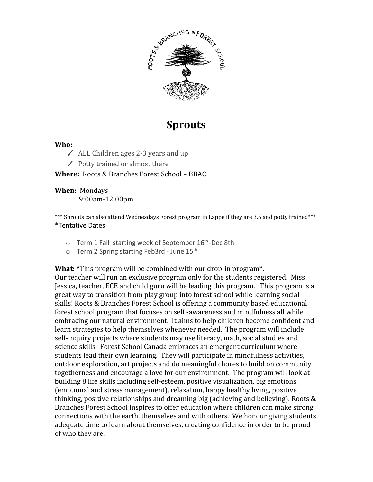

## **Sprouts**

#### **Who:**

- ✓ ALL Children ages 2-3 years and up
- $\checkmark$  Potty trained or almost there

#### **Where:** Roots & Branches Forest School – BBAC

#### **When:** Mondays 9:00am-12:00pm

\*\*\* Sprouts can also attend Wednesdays Forest program in Lappe if they are 3.5 and potty trained\*\*\* \*Tentative Dates

- o Term 1 Fall starting week of September 16<sup>th</sup>-Dec 8th
- $\circ$  Term 2 Spring starting Feb3rd June 15<sup>th</sup>

**What: \***This program will be combined with our drop-in program\*.

Our teacher will run an exclusive program only for the students registered. Miss Jessica, teacher, ECE and child guru will be leading this program. This program is a great way to transition from play group into forest school while learning social skills! Roots & Branches Forest School is offering a community based educational forest school program that focuses on self -awareness and mindfulness all while embracing our natural environment. It aims to help children become confident and learn strategies to help themselves whenever needed. The program will include self-inquiry projects where students may use literacy, math, social studies and science skills. Forest School Canada embraces an emergent curriculum where students lead their own learning. They will participate in mindfulness activities, outdoor exploration, art projects and do meaningful chores to build on community togetherness and encourage a love for our environment. The program will look at building 8 life skills including self-esteem, positive visualization, big emotions (emotional and stress management), relaxation, happy healthy living, positive thinking, positive relationships and dreaming big (achieving and believing). Roots & Branches Forest School inspires to offer education where children can make strong connections with the earth, themselves and with others. We honour giving students adequate time to learn about themselves, creating confidence in order to be proud of who they are.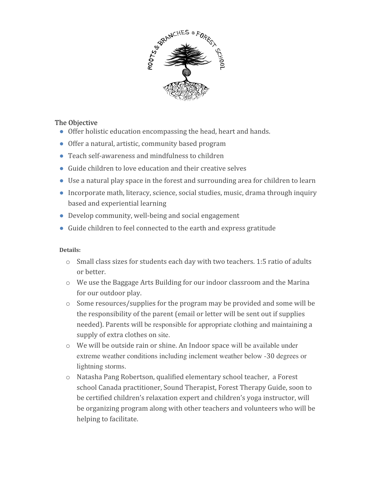

#### The Objective

- Offer holistic education encompassing the head, heart and hands.
- Offer a natural, artistic, community based program
- Teach self-awareness and mindfulness to children
- Guide children to love education and their creative selves
- Use a natural play space in the forest and surrounding area for children to learn
- Incorporate math, literacy, science, social studies, music, drama through inquiry based and experiential learning
- Develop community, well-being and social engagement
- Guide children to feel connected to the earth and express gratitude

#### **Details:**

- o Small class sizes for students each day with two teachers. 1:5 ratio of adults or better.
- o We use the Baggage Arts Building for our indoor classroom and the Marina for our outdoor play.
- o Some resources/supplies for the program may be provided and some will be the responsibility of the parent (email or letter will be sent out if supplies needed). Parents will be responsible for appropriate clothing and maintaining a supply of extra clothes on site.
- o We will be outside rain or shine. An Indoor space will be available under extreme weather conditions including inclement weather below -30 degrees or lightning storms.
- o Natasha Pang Robertson, qualified elementary school teacher, a Forest school Canada practitioner, Sound Therapist, Forest Therapy Guide, soon to be certified children's relaxation expert and children's yoga instructor, will be organizing program along with other teachers and volunteers who will be helping to facilitate.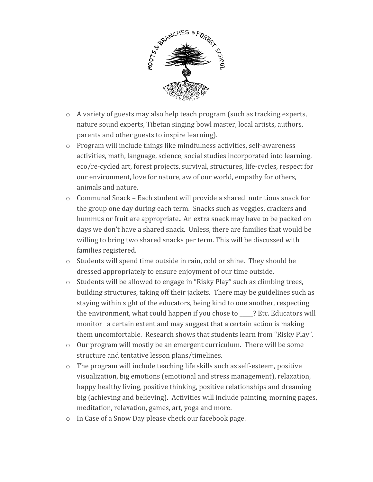

- o A variety of guests may also help teach program (such as tracking experts, nature sound experts, Tibetan singing bowl master, local artists, authors, parents and other guests to inspire learning).
- o Program will include things like mindfulness activities, self-awareness activities, math, language, science, social studies incorporated into learning, eco/re-cycled art, forest projects, survival, structures, life-cycles, respect for our environment, love for nature, aw of our world, empathy for others, animals and nature.
- $\circ$  Communal Snack Each student will provide a shared nutritious snack for the group one day during each term. Snacks such as veggies, crackers and hummus or fruit are appropriate.. An extra snack may have to be packed on days we don't have a shared snack. Unless, there are families that would be willing to bring two shared snacks per term. This will be discussed with families registered.
- o Students will spend time outside in rain, cold or shine. They should be dressed appropriately to ensure enjoyment of our time outside.
- o Students will be allowed to engage in "Risky Play" such as climbing trees, building structures, taking off their jackets. There may be guidelines such as staying within sight of the educators, being kind to one another, respecting the environment, what could happen if you chose to \_\_\_\_\_? Etc. Educators will monitor a certain extent and may suggest that a certain action is making them uncomfortable. Research shows that students learn from "Risky Play".
- $\circ$  Our program will mostly be an emergent curriculum. There will be some structure and tentative lesson plans/timelines.
- $\circ$  The program will include teaching life skills such as self-esteem, positive visualization, big emotions (emotional and stress management), relaxation, happy healthy living, positive thinking, positive relationships and dreaming big (achieving and believing). Activities will include painting, morning pages, meditation, relaxation, games, art, yoga and more.
- o In Case of a Snow Day please check our facebook page.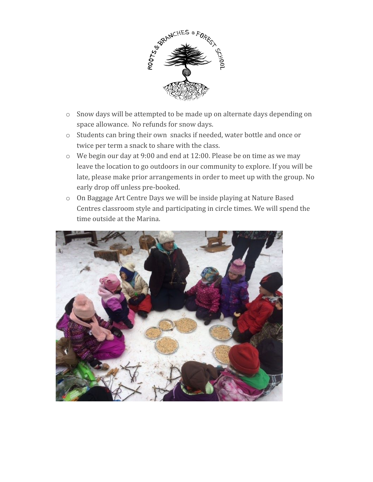

- o Snow days will be attempted to be made up on alternate days depending on space allowance. No refunds for snow days.
- o Students can bring their own snacks if needed, water bottle and once or twice per term a snack to share with the class.
- o We begin our day at 9:00 and end at 12:00. Please be on time as we may leave the location to go outdoors in our community to explore. If you will be late, please make prior arrangements in order to meet up with the group. No early drop off unless pre-booked.
- o On Baggage Art Centre Days we will be inside playing at Nature Based Centres classroom style and participating in circle times. We will spend the time outside at the Marina.

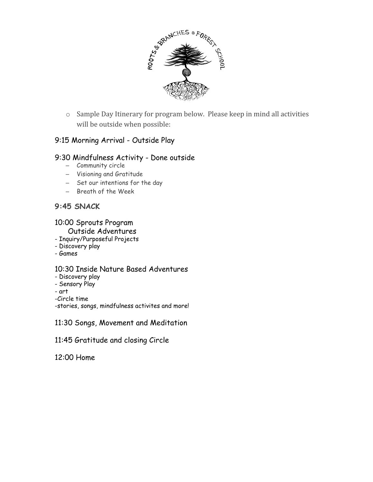

o Sample Day Itinerary for program below. Please keep in mind all activities will be outside when possible:

#### 9:15 Morning Arrival - Outside Play

#### 9:30 Mindfulness Activity - Done outside

- Community circle
- Visioning and Gratitude
- Set our intentions for the day
- Breath of the Week

#### **9:45 SNACK**

#### 10:00 Sprouts Program

#### Outside Adventures

- Inquiry/Purposeful Projects
- Discovery play
- Games

#### 10:30 Inside Nature Based Adventures

- Discovery play
- Sensory Play
- art
- -Circle time

-stories, songs, mindfulness activites and more!

11:30 Songs, Movement and Meditation

11:45 Gratitude and closing Circle

12:00 Home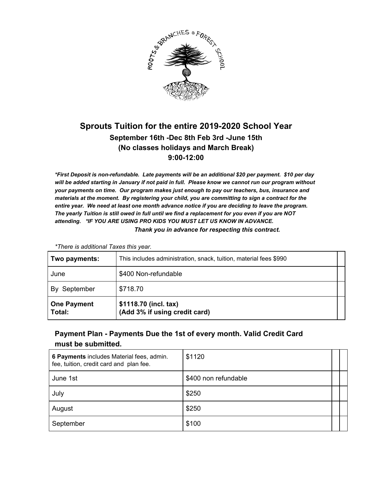

## **Sprouts Tuition for the entire 2019-2020 School Year September 16th -Dec 8th Feb 3rd -June 15th (No classes holidays and March Break) 9:00-12:00**

*\*First Deposit is non-refundable. Late payments will be an additional \$20 per payment. \$10 per day will be added starting in January if not paid in full. Please know we cannot run our program without your payments on time. Our program makes just enough to pay our teachers, bus, insurance and materials at the moment. By registering your child, you are committing to sign a contract for the entire year. We need at least one month advance notice if you are deciding to leave the program. The yearly Tuition is still owed in full until we find a replacement for you even if you are NOT attending. \*IF YOU ARE USING PRO KIDS YOU MUST LET US KNOW IN ADVANCE. Thank you in advance for respecting this contract.*

*\*There is additional Taxes this year.*

| June                         | \$400 Non-refundable                                   |  |
|------------------------------|--------------------------------------------------------|--|
| By September                 | \$718.70                                               |  |
| <b>One Payment</b><br>Total: | \$1118.70 (incl. tax)<br>(Add 3% if using credit card) |  |

#### **Payment Plan - Payments Due the 1st of every month. Valid Credit Card must be submitted.**

| 6 Payments includes Material fees, admin.<br>fee, tuition, credit card and plan fee. | \$1120               |  |
|--------------------------------------------------------------------------------------|----------------------|--|
| June 1st                                                                             | \$400 non refundable |  |
| July                                                                                 | \$250                |  |
| August                                                                               | \$250                |  |
| September                                                                            | \$100                |  |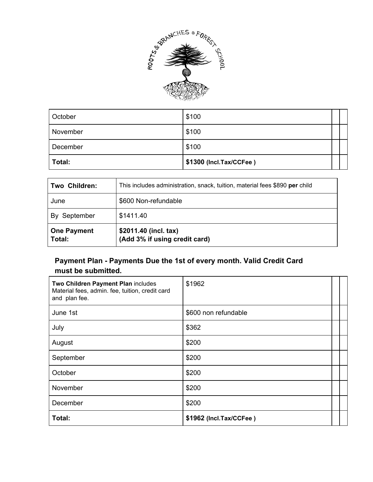

| October  | \$100                   |  |
|----------|-------------------------|--|
| November | \$100                   |  |
| December | \$100                   |  |
| Total:   | \$1300 (Incl.Tax/CCFee) |  |

| Two Children:                | This includes administration, snack, tuition, material fees \$890 per child |
|------------------------------|-----------------------------------------------------------------------------|
| June                         | \$600 Non-refundable                                                        |
| By September                 | \$1411.40                                                                   |
| <b>One Payment</b><br>Total: | \$2011.40 (incl. tax)<br>(Add 3% if using credit card)                      |

### **Payment Plan - Payments Due the 1st of every month. Valid Credit Card must be submitted.**

| Two Children Payment Plan includes<br>Material fees, admin. fee, tuition, credit card<br>and plan fee. | \$1962                  |  |
|--------------------------------------------------------------------------------------------------------|-------------------------|--|
| June 1st                                                                                               | \$600 non refundable    |  |
| July                                                                                                   | \$362                   |  |
| August                                                                                                 | \$200                   |  |
| September                                                                                              | \$200                   |  |
| October                                                                                                | \$200                   |  |
| November                                                                                               | \$200                   |  |
| December                                                                                               | \$200                   |  |
| Total:                                                                                                 | \$1962 (Incl.Tax/CCFee) |  |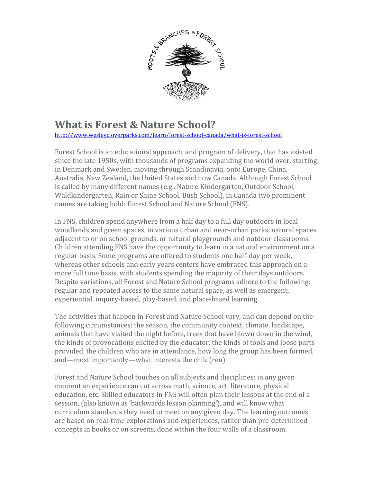

# **What is Forest & Nature School?**

<http://www.wesleycloverparks.com/learn/forest-school-canada/what-is-forest-school>

Forest School is an educational approach, and program of delivery, that has existed since the late 1950s, with thousands of programs expanding the world over, starting in Denmark and Sweden, moving through Scandinavia, onto Europe, China, Australia, New Zealand, the United States and now Canada. Although Forest School is called by many different names (e.g., Nature Kindergarten, Outdoor School, Waldkindergarten, Rain or Shine School, Bush School), in Canada two prominent names are taking hold: Forest School and Nature School (FNS).

In FNS, children spend anywhere from a half day to a full day outdoors in local woodlands and green spaces, in various urban and near-urban parks, natural spaces adjacent to or on school grounds, or natural playgrounds and outdoor classrooms. Children attending FNS have the opportunity to learn in a natural environment on a regular basis. Some programs are offered to students one half-day per week, whereas other schools and early years centers have embraced this approach on a more full time basis, with students spending the majority of their days outdoors. Despite variations, all Forest and Nature School programs adhere to the following: regular and repeated access to the same natural space, as well as emergent, experiential, inquiry-based, play-based, and place-based learning.

The activities that happen in Forest and Nature School vary, and can depend on the following circumstances: the season, the community context, climate, landscape, animals that have visited the night before, trees that have blown down in the wind, the kinds of provocations elicited by the educator, the kinds of tools and loose parts provided, the children who are in attendance, how long the group has been formed, and—most importantly—what interests the child(ren).

Forest and Nature School touches on all subjects and disciplines: in any given moment an experience can cut across math, science, art, literature, physical education, etc. Skilled educators in FNS will often plan their lessons at the end of a session, (also known as 'backwards lesson planning'), and will know what curriculum standards they need to meet on any given day. The learning outcomes are based on real-time explorations and experiences, rather than pre-determined concepts in books or on screens, done within the four walls of a classroom.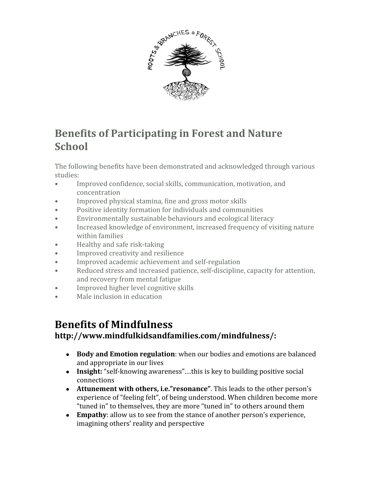

# **Benefits of Participating in Forest and Nature School**

The following benefits have been demonstrated and acknowledged through various studies:

- Improved confidence, social skills, communication, motivation, and concentration
- Improved physical stamina, fine and gross motor skills
- Positive identity formation for individuals and communities
- Environmentally sustainable behaviours and ecological literacy
- Increased knowledge of environment, increased frequency of visiting nature within families
- Healthy and safe risk-taking
- Improved creativity and resilience
- Improved academic achievement and self-regulation
- Reduced stress and increased patience, self-discipline, capacity for attention, and recovery from mental fatigue
- Improved higher level cognitive skills
- Male inclusion in education

# **Benefits of Mindfulness**

## **http://www.mindfulkidsandfamilies.com/mindfulness/:**

- **Body and Emotion regulation**: when our bodies and emotions are balanced and appropriate in our lives
- **Insight:** "self-knowing awareness"…this is key to building positive social connections
- **Attunement with others, i.e."resonance"**. This leads to the other person's experience of "feeling felt", of being understood. When children become more "tuned in" to themselves, they are more "tuned in" to others around them
- **Empathy**: allow us to see from the stance of another person's experience, imagining others' reality and perspective